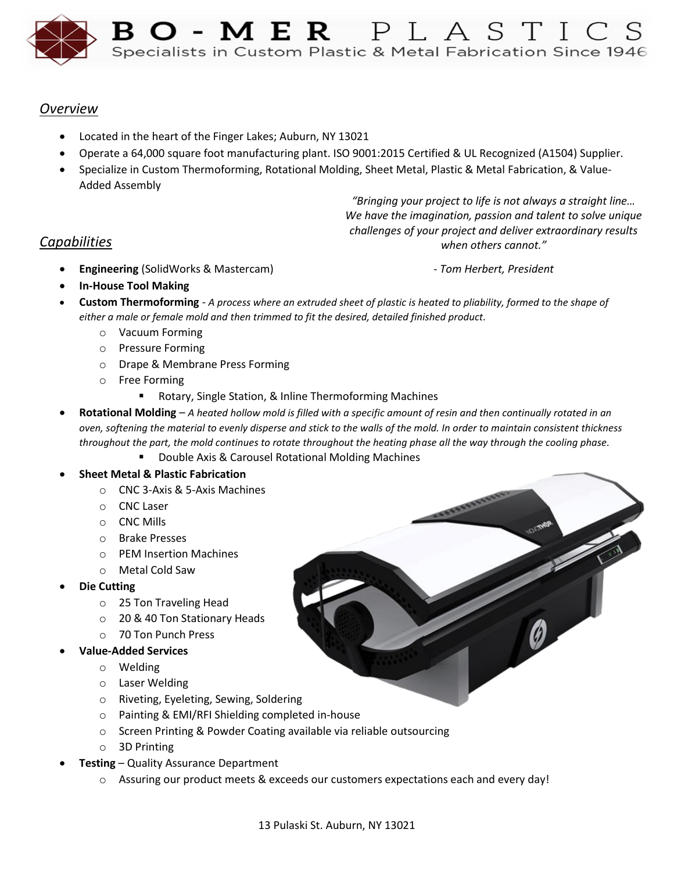

# *Overview*

- Located in the heart of the Finger Lakes; Auburn, NY 13021
- Operate a 64,000 square foot manufacturing plant. ISO 9001:2015 Certified & UL Recognized (A1504) Supplier.
- Specialize in Custom Thermoforming, Rotational Molding, Sheet Metal, Plastic & Metal Fabrication, & Value-Added Assembly

*"Bringing your project to life is not always a straight line… We have the imagination, passion and talent to solve unique challenges of your project and deliver extraordinary results when others cannot."*

*Capabilities*

*- Tom Herbert, President*

- **In-House Tool Making**
- **Custom Thermoforming** *A process where an extruded sheet of plastic is heated to pliability, formed to the shape of either a male or female mold and then trimmed to fit the desired, detailed finished product.*
	- o Vacuum Forming

• **Engineering** (SolidWorks & Mastercam)

- o Pressure Forming
- o Drape & Membrane Press Forming
- o Free Forming
	- Rotary, Single Station, & Inline Thermoforming Machines
- **Rotational Molding**  *A heated hollow mold is filled with a specific amount of resin and then continually rotated in an oven, softening the material to evenly disperse and stick to the walls of the mold. In order to maintain consistent thickness throughout the part, the mold continues to rotate throughout the heating phase all the way through the cooling phase.*
	- Double Axis & Carousel Rotational Molding Machines
- **Sheet Metal & Plastic Fabrication**
	- o CNC 3-Axis & 5-Axis Machines
	- o CNC Laser
	- o CNC Mills
	- o Brake Presses
	- o PEM Insertion Machines
	- o Metal Cold Saw
- **Die Cutting**
	- o 25 Ton Traveling Head
	- o 20 & 40 Ton Stationary Heads
	- o 70 Ton Punch Press
- **Value-Added Services**
	- o Welding
	- o Laser Welding
	- o Riveting, Eyeleting, Sewing, Soldering
	- o Painting & EMI/RFI Shielding completed in-house
	- o Screen Printing & Powder Coating available via reliable outsourcing
	- o 3D Printing
- **Testing** Quality Assurance Department
	- o Assuring our product meets & exceeds our customers expectations each and every day!